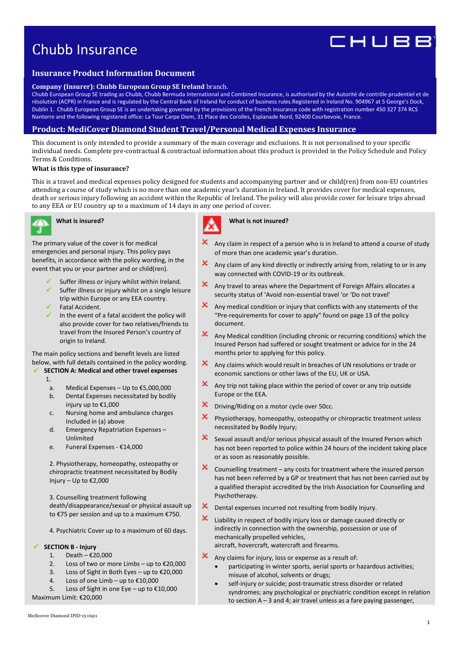# Chubb Insurance

# **Insurance Product Information Document**

#### **Company (Insurer): Chubb European Group SE Ireland** branch.

Chubb European Group SE trading as Chubb, Chubb Bermuda International and Combined Insurance, is authorised by the Autorité de contrôle prudentiel et de résolution (ACPR) in France and is regulated by the Central Bank of Ireland for conduct of business rules.Registered in Ireland No. 904967 at 5 George's Dock, Dublin 1. Chubb European Group SE is an undertaking governed by the provisions of the French insurance code with registration number 450 327 374 RCS Nanterre and the following registered office: La Tour Carpe Diem, 31 Place des Corolles, Esplanade Nord, 92400 Courbevoie, France.

# **Product: MediCover Diamond Student Travel/Personal Medical Expenses Insurance**

This document is only intended to provide a summary of the main coverage and exclusions. It is not personalised to your specific individual needs. Complete pre-contractual & contractual information about this product is provided in the Policy Schedule and Policy Terms & Conditions.

#### **What is this type of insurance?**

This is a travel and medical expenses policy designed for students and accompanying partner and or child(ren) from non-EU countries attending a course of study which is no more than one academic year's duration in Ireland. It provides cover for medical expenses, death or serious injury following an accident within the Republic of Ireland. The policy will also provide cover for leisure trips abroad to any EEA or EU country up to a maximum of 14 days in any one period of cover.



# **What is insured?**

The primary value of the cover is for medical emergencies and personal injury. This policy pays benefits, in accordance with the policy wording, in the event that you or your partner and or child(ren).

- Suffer illness or injury whilst within Ireland.
- $\checkmark$  Suffer illness or injury whilst on a single leisure trip within Europe or any EEA country.
- Fatal Accident.
- In the event of a fatal accident the policy will also provide cover for two relatives/friends to travel from the Insured Person's country of origin to Ireland.

The main policy sections and benefit levels are listed below, with full details contained in the policy wording.

# **SECTION A: Medical and other travel expenses**

- 1.
- 
- a. Medical Expenses Up to €5,000,000
- b. Dental Expenses necessitated by bodily injury up to €1,000
- c. Nursing home and ambulance charges Included in (a) above
- d. Emergency Repatriation Expenses Unlimited
- e. Funeral Expenses €14,000

2. Physiotherapy, homeopathy, osteopathy or chiropractic treatment necessitated by Bodily Injury – Up to €2,000

3. Counselling treatment following death/disappearance/sexual or physical assault up to €75 per session and up to a maximum €750.

4. Psychiatric Cover up to a maximum of 60 days.

## **SECTION B - Injury**

- 1. Death €20,000
- 2. Loss of two or more Limbs up to €20,000
- 3. Loss of Sight in Both Eyes up to €20,000
- 4. Loss of one Limb up to €10,000
- 5. Loss of Sight in one Eye up to €10,000

Maximum Limit: €20,000

# **What is not insured?**

- Any claim in respect of a person who is in Ireland to attend a course of study of more than one academic year's duration.
- $\mathbf{\times}$  Any claim of any kind directly or indirectly arising from, relating to or in any way connected with COVID-19 or its outbreak.
- $\mathbf x$  Any travel to areas where the Department of Foreign Affairs allocates a security status of 'Avoid non-essential travel 'or 'Do not travel'
- $\mathbf x$  Any medical condition or injury that conflicts with any statements of the "Pre-requirements for cover to apply" found on page 13 of the policy document.
- $\mathbf x$  Any Medical condition (including chronic or recurring conditions) which the Insured Person had suffered or sought treatment or advice for in the 24 months prior to applying for this policy.
- $\mathbf{\times}$  Any claims which would result in breaches of UN resolutions or trade or economic sanctions or other laws of the EU, UK or USA.
- $\mathbf{\times}$  Any trip not taking place within the period of cover or any trip outside Europe or the EEA.
- **X** Driving/Riding on a motor cycle over 50cc.
- $\mathbf x$  Physiotherapy, homeopathy, osteopathy or chiropractic treatment unless necessitated by Bodily Injury;
- $\mathbf{\times}$  Sexual assault and/or serious physical assault of the Insured Person which has not been reported to police within 24 hours of the incident taking place or as soon as reasonably possible.
- $x$  Counselling treatment any costs for treatment where the insured person has not been referred by a GP or treatment that has not been carried out by a qualified therapist accredited by the Irish Association for Counselling and Psychotherapy.
- $\mathbf x$  Dental expenses incurred not resulting from bodily Injury.
- $\mathsf{\times}\;$  Liability in respect of bodily injury loss or damage caused directly or indirectly in connection with the ownership, possession or use of mechanically propelled vehicles, aircraft, hovercraft, watercraft and firearms.
- Any claims for injury, loss or expense as a result of:
	- participating in winter sports, aerial sports or hazardous activities; misuse of alcohol, solvents or drugs;
	- self-injury or suicide; post-traumatic stress disorder or related syndromes; any psychological or psychiatric condition except in relation to section A – 3 and 4; air travel unless as a fare paying passenger,